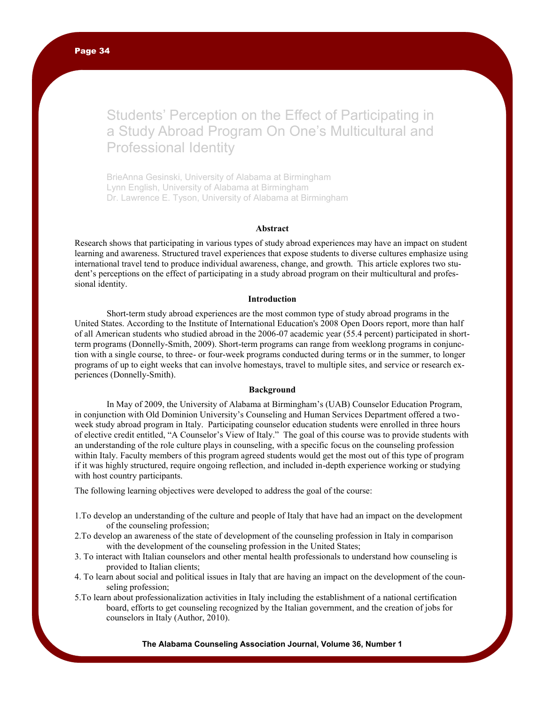# Students' Perception on the Effect of Participating in a Study Abroad Program On One's Multicultural and Professional Identity

BrieAnna Gesinski, University of Alabama at Birmingham Lynn English, University of Alabama at Birmingham Dr. Lawrence E. Tyson, University of Alabama at Birmingham

# **Abstract**

Research shows that participating in various types of study abroad experiences may have an impact on student learning and awareness. Structured travel experiences that expose students to diverse cultures emphasize using international travel tend to produce individual awareness, change, and growth. This article explores two student"s perceptions on the effect of participating in a study abroad program on their multicultural and professional identity.

# **Introduction**

Short-term study abroad experiences are the most common type of study abroad programs in the United States. According to the Institute of International Education's 2008 Open Doors report, more than half of all American students who studied abroad in the 2006-07 academic year (55.4 percent) participated in shortterm programs (Donnelly-Smith, 2009). Short-term programs can range from weeklong programs in conjunction with a single course, to three- or four-week programs conducted during terms or in the summer, to longer programs of up to eight weeks that can involve homestays, travel to multiple sites, and service or research experiences (Donnelly-Smith).

## **Background**

In May of 2009, the University of Alabama at Birmingham"s (UAB) Counselor Education Program, in conjunction with Old Dominion University"s Counseling and Human Services Department offered a twoweek study abroad program in Italy. Participating counselor education students were enrolled in three hours of elective credit entitled, "A Counselor"s View of Italy." The goal of this course was to provide students with an understanding of the role culture plays in counseling, with a specific focus on the counseling profession within Italy. Faculty members of this program agreed students would get the most out of this type of program if it was highly structured, require ongoing reflection, and included in-depth experience working or studying with host country participants.

The following learning objectives were developed to address the goal of the course:

- 1.To develop an understanding of the culture and people of Italy that have had an impact on the development of the counseling profession;
- 2.To develop an awareness of the state of development of the counseling profession in Italy in comparison with the development of the counseling profession in the United States;
- 3. To interact with Italian counselors and other mental health professionals to understand how counseling is provided to Italian clients;
- 4. To learn about social and political issues in Italy that are having an impact on the development of the counseling profession;
- 5.To learn about professionalization activities in Italy including the establishment of a national certification board, efforts to get counseling recognized by the Italian government, and the creation of jobs for counselors in Italy (Author, 2010).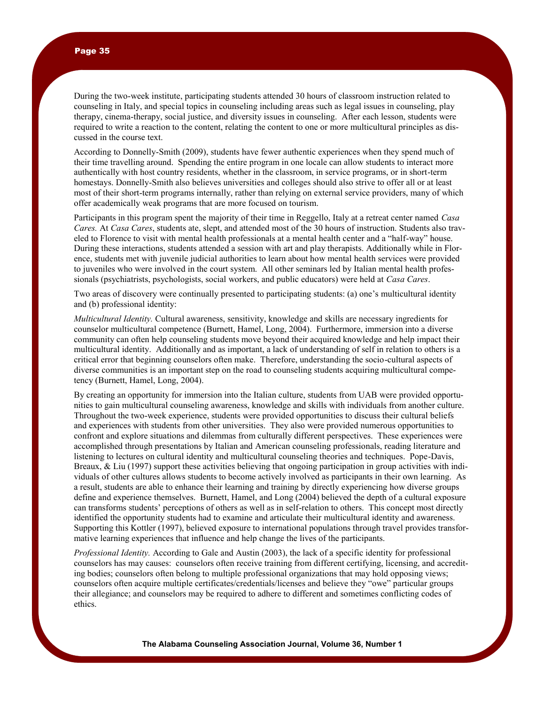During the two-week institute, participating students attended 30 hours of classroom instruction related to counseling in Italy, and special topics in counseling including areas such as legal issues in counseling, play therapy, cinema-therapy, social justice, and diversity issues in counseling. After each lesson, students were required to write a reaction to the content, relating the content to one or more multicultural principles as discussed in the course text.

According to Donnelly-Smith (2009), students have fewer authentic experiences when they spend much of their time travelling around. Spending the entire program in one locale can allow students to interact more authentically with host country residents, whether in the classroom, in service programs, or in short-term homestays. Donnelly-Smith also believes universities and colleges should also strive to offer all or at least most of their short-term programs internally, rather than relying on external service providers, many of which offer academically weak programs that are more focused on tourism.

Participants in this program spent the majority of their time in Reggello, Italy at a retreat center named *Casa Cares.* At *Casa Cares*, students ate, slept, and attended most of the 30 hours of instruction. Students also traveled to Florence to visit with mental health professionals at a mental health center and a "half-way" house. During these interactions, students attended a session with art and play therapists. Additionally while in Florence, students met with juvenile judicial authorities to learn about how mental health services were provided to juveniles who were involved in the court system. All other seminars led by Italian mental health professionals (psychiatrists, psychologists, social workers, and public educators) were held at *Casa Cares*.

Two areas of discovery were continually presented to participating students: (a) one"s multicultural identity and (b) professional identity:

*Multicultural Identity.* Cultural awareness, sensitivity, knowledge and skills are necessary ingredients for counselor multicultural competence (Burnett, Hamel, Long, 2004). Furthermore, immersion into a diverse community can often help counseling students move beyond their acquired knowledge and help impact their multicultural identity. Additionally and as important, a lack of understanding of self in relation to others is a critical error that beginning counselors often make. Therefore, understanding the socio-cultural aspects of diverse communities is an important step on the road to counseling students acquiring multicultural competency (Burnett, Hamel, Long, 2004).

By creating an opportunity for immersion into the Italian culture, students from UAB were provided opportunities to gain multicultural counseling awareness, knowledge and skills with individuals from another culture. Throughout the two-week experience, students were provided opportunities to discuss their cultural beliefs and experiences with students from other universities. They also were provided numerous opportunities to confront and explore situations and dilemmas from culturally different perspectives. These experiences were accomplished through presentations by Italian and American counseling professionals, reading literature and listening to lectures on cultural identity and multicultural counseling theories and techniques. Pope-Davis, Breaux, & Liu (1997) support these activities believing that ongoing participation in group activities with individuals of other cultures allows students to become actively involved as participants in their own learning. As a result, students are able to enhance their learning and training by directly experiencing how diverse groups define and experience themselves. Burnett, Hamel, and Long (2004) believed the depth of a cultural exposure can transforms students" perceptions of others as well as in self-relation to others. This concept most directly identified the opportunity students had to examine and articulate their multicultural identity and awareness. Supporting this Kottler (1997), believed exposure to international populations through travel provides transformative learning experiences that influence and help change the lives of the participants.

*Professional Identity.* According to Gale and Austin (2003), the lack of a specific identity for professional counselors has may causes: counselors often receive training from different certifying, licensing, and accrediting bodies; counselors often belong to multiple professional organizations that may hold opposing views; counselors often acquire multiple certificates/credentials/licenses and believe they "owe" particular groups their allegiance; and counselors may be required to adhere to different and sometimes conflicting codes of ethics.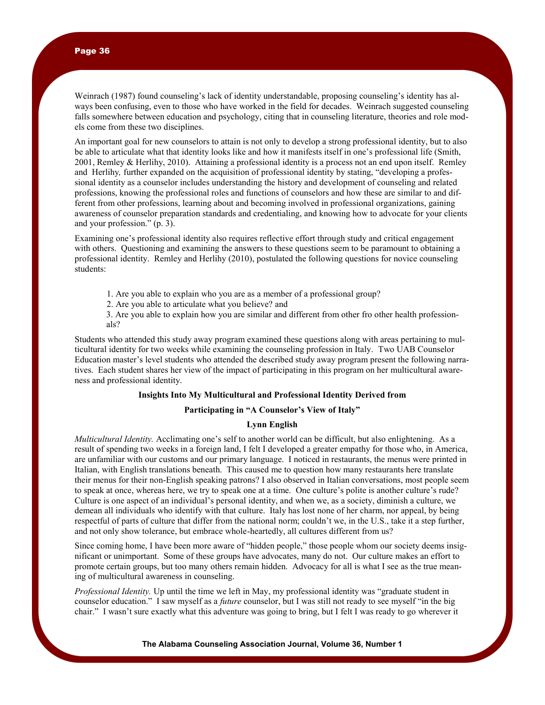Weinrach (1987) found counseling"s lack of identity understandable, proposing counseling"s identity has always been confusing, even to those who have worked in the field for decades. Weinrach suggested counseling falls somewhere between education and psychology, citing that in counseling literature, theories and role models come from these two disciplines.

An important goal for new counselors to attain is not only to develop a strong professional identity, but to also be able to articulate what that identity looks like and how it manifests itself in one"s professional life (Smith, 2001, Remley & Herlihy, 2010). Attaining a professional identity is a process not an end upon itself. Remley and Herlihy*,* further expanded on the acquisition of professional identity by stating, "developing a professional identity as a counselor includes understanding the history and development of counseling and related professions, knowing the professional roles and functions of counselors and how these are similar to and different from other professions, learning about and becoming involved in professional organizations, gaining awareness of counselor preparation standards and credentialing, and knowing how to advocate for your clients and your profession." (p. 3).

Examining one"s professional identity also requires reflective effort through study and critical engagement with others. Questioning and examining the answers to these questions seem to be paramount to obtaining a professional identity. Remley and Herlihy (2010), postulated the following questions for novice counseling students:

- 1. Are you able to explain who you are as a member of a professional group?
- 2. Are you able to articulate what you believe? and

3. Are you able to explain how you are similar and different from other fro other health professionals?

Students who attended this study away program examined these questions along with areas pertaining to multicultural identity for two weeks while examining the counseling profession in Italy.Two UAB Counselor Education master"s level students who attended the described study away program present the following narratives. Each student shares her view of the impact of participating in this program on her multicultural awareness and professional identity.

#### **Insights Into My Multicultural and Professional Identity Derived from**

#### **Participating in "A Counselor's View of Italy"**

# **Lynn English**

*Multicultural Identity.* Acclimating one"s self to another world can be difficult, but also enlightening. As a result of spending two weeks in a foreign land, I felt I developed a greater empathy for those who, in America, are unfamiliar with our customs and our primary language. I noticed in restaurants, the menus were printed in Italian, with English translations beneath. This caused me to question how many restaurants here translate their menus for their non-English speaking patrons? I also observed in Italian conversations, most people seem to speak at once, whereas here, we try to speak one at a time. One culture's polite is another culture's rude? Culture is one aspect of an individual"s personal identity, and when we, as a society, diminish a culture, we demean all individuals who identify with that culture. Italy has lost none of her charm, nor appeal, by being respectful of parts of culture that differ from the national norm; couldn"t we, in the U.S., take it a step further, and not only show tolerance, but embrace whole-heartedly, all cultures different from us?

Since coming home, I have been more aware of "hidden people," those people whom our society deems insignificant or unimportant. Some of these groups have advocates, many do not. Our culture makes an effort to promote certain groups, but too many others remain hidden. Advocacy for all is what I see as the true meaning of multicultural awareness in counseling.

*Professional Identity.* Up until the time we left in May, my professional identity was "graduate student in counselor education." I saw myself as a *future* counselor, but I was still not ready to see myself "in the big chair." I wasn"t sure exactly what this adventure was going to bring, but I felt I was ready to go wherever it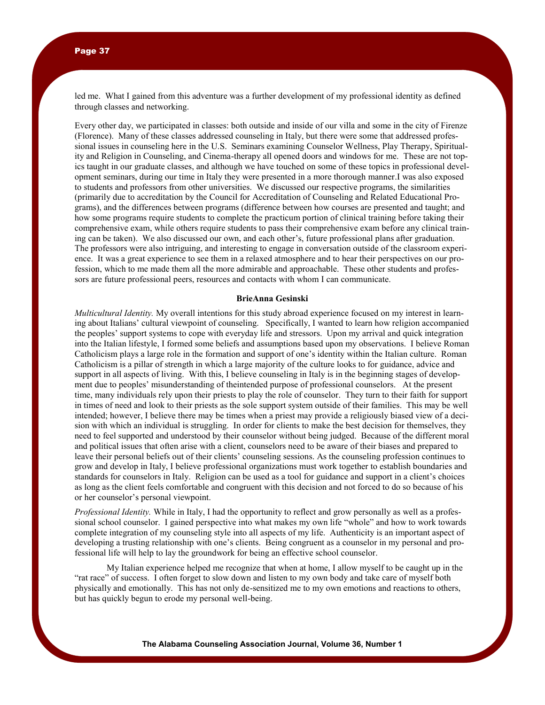led me. What I gained from this adventure was a further development of my professional identity as defined through classes and networking.

Every other day, we participated in classes: both outside and inside of our villa and some in the city of Firenze (Florence). Many of these classes addressed counseling in Italy, but there were some that addressed professional issues in counseling here in the U.S. Seminars examining Counselor Wellness, Play Therapy, Spirituality and Religion in Counseling, and Cinema-therapy all opened doors and windows for me. These are not topics taught in our graduate classes, and although we have touched on some of these topics in professional development seminars, during our time in Italy they were presented in a more thorough manner.I was also exposed to students and professors from other universities. We discussed our respective programs, the similarities (primarily due to accreditation by the Council for Accreditation of Counseling and Related Educational Programs), and the differences between programs (difference between how courses are presented and taught; and how some programs require students to complete the practicum portion of clinical training before taking their comprehensive exam, while others require students to pass their comprehensive exam before any clinical training can be taken). We also discussed our own, and each other"s, future professional plans after graduation. The professors were also intriguing, and interesting to engage in conversation outside of the classroom experience. It was a great experience to see them in a relaxed atmosphere and to hear their perspectives on our profession, which to me made them all the more admirable and approachable. These other students and professors are future professional peers, resources and contacts with whom I can communicate.

# **BrieAnna Gesinski**

*Multicultural Identity.* My overall intentions for this study abroad experience focused on my interest in learning about Italians" cultural viewpoint of counseling. Specifically, I wanted to learn how religion accompanied the peoples" support systems to cope with everyday life and stressors. Upon my arrival and quick integration into the Italian lifestyle, I formed some beliefs and assumptions based upon my observations. I believe Roman Catholicism plays a large role in the formation and support of one"s identity within the Italian culture. Roman Catholicism is a pillar of strength in which a large majority of the culture looks to for guidance, advice and support in all aspects of living. With this, I believe counseling in Italy is in the beginning stages of development due to peoples" misunderstanding of theintended purpose of professional counselors. At the present time, many individuals rely upon their priests to play the role of counselor. They turn to their faith for support in times of need and look to their priests as the sole support system outside of their families. This may be well intended; however, I believe there may be times when a priest may provide a religiously biased view of a decision with which an individual is struggling. In order for clients to make the best decision for themselves, they need to feel supported and understood by their counselor without being judged. Because of the different moral and political issues that often arise with a client, counselors need to be aware of their biases and prepared to leave their personal beliefs out of their clients" counseling sessions. As the counseling profession continues to grow and develop in Italy, I believe professional organizations must work together to establish boundaries and standards for counselors in Italy. Religion can be used as a tool for guidance and support in a client"s choices as long as the client feels comfortable and congruent with this decision and not forced to do so because of his or her counselor"s personal viewpoint.

*Professional Identity.* While in Italy, I had the opportunity to reflect and grow personally as well as a professional school counselor. I gained perspective into what makes my own life "whole" and how to work towards complete integration of my counseling style into all aspects of my life. Authenticity is an important aspect of developing a trusting relationship with one"s clients. Being congruent as a counselor in my personal and professional life will help to lay the groundwork for being an effective school counselor.

My Italian experience helped me recognize that when at home, I allow myself to be caught up in the "rat race" of success. I often forget to slow down and listen to my own body and take care of myself both physically and emotionally. This has not only de-sensitized me to my own emotions and reactions to others, but has quickly begun to erode my personal well-being.